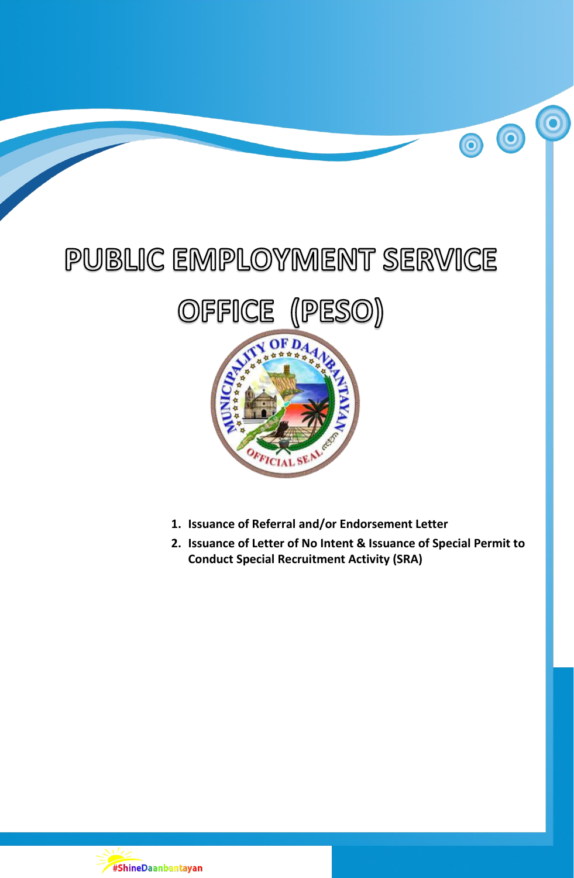# PUBLIC EMPLOYMENT SERVICE



- **1. Issuance of Referral and/or Endorsement Letter**
- **2. Issuance of Letter of No Intent & Issuance of Special Permit to Conduct Special Recruitment Activity (SRA)**

 $\overline{\mathbf{0}}$ 

00

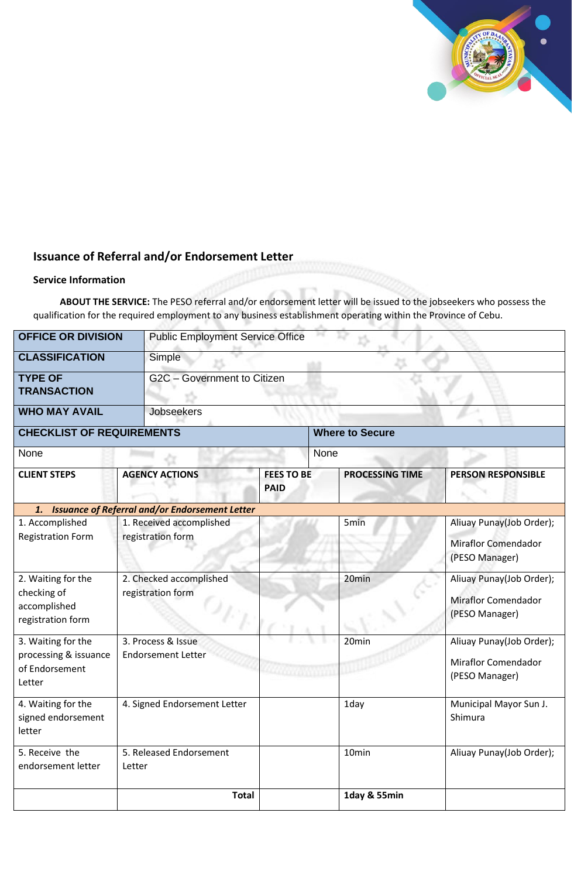# **Issuance of Referral and/or Endorsement Letter**

### **Service Information**

**ABOUT THE SERVICE:** The PESO referral and/or endorsement letter will be issued to the jobseekers who possess the qualification for the required employment to any business establishment operating within the Province of Cebu.

| <b>OFFICE OR DIVISION</b>                                               |                                                 | <b>Public Employment Service Office</b> |                   |                        |                                                                          |  |  |  |
|-------------------------------------------------------------------------|-------------------------------------------------|-----------------------------------------|-------------------|------------------------|--------------------------------------------------------------------------|--|--|--|
| <b>CLASSIFICATION</b>                                                   | Simple                                          |                                         |                   |                        |                                                                          |  |  |  |
| <b>TYPE OF</b><br><b>TRANSACTION</b>                                    |                                                 | G2C - Government to Citizen             |                   |                        |                                                                          |  |  |  |
| <b>WHO MAY AVAIL</b>                                                    | Jobseekers                                      |                                         |                   |                        |                                                                          |  |  |  |
| <b>CHECKLIST OF REQUIREMENTS</b>                                        |                                                 | <b>Where to Secure</b>                  |                   |                        |                                                                          |  |  |  |
| None                                                                    |                                                 | None                                    |                   |                        |                                                                          |  |  |  |
| <b>CLIENT STEPS</b>                                                     | <b>AGENCY ACTIONS</b>                           | <b>FEES TO BE</b><br><b>PAID</b>        |                   | <b>PROCESSING TIME</b> | <b>PERSON RESPONSIBLE</b>                                                |  |  |  |
| 1. Issuance of Referral and/or Endorsement Letter                       |                                                 |                                         |                   |                        |                                                                          |  |  |  |
| 1. Accomplished<br><b>Registration Form</b>                             | 1. Received accomplished<br>registration form   |                                         | 5min              |                        | Aliuay Punay(Job Order);<br><b>Miraflor Comendador</b><br>(PESO Manager) |  |  |  |
| 2. Waiting for the<br>checking of<br>accomplished<br>registration form  | 2. Checked accomplished<br>registration form    |                                         | 20min             |                        | Aliuay Punay(Job Order);<br><b>Miraflor Comendador</b><br>(PESO Manager) |  |  |  |
| 3. Waiting for the<br>processing & issuance<br>of Endorsement<br>Letter | 3. Process & Issue<br><b>Endorsement Letter</b> |                                         | 20min             |                        | Aliuay Punay(Job Order);<br>Miraflor Comendador<br>(PESO Manager)        |  |  |  |
| 4. Waiting for the<br>signed endorsement<br>letter                      | 4. Signed Endorsement Letter                    |                                         | 1day              |                        | Municipal Mayor Sun J.<br>Shimura                                        |  |  |  |
| 5. Receive the<br>endorsement letter                                    | 5. Released Endorsement<br>Letter               |                                         | 10 <sub>min</sub> |                        | Aliuay Punay(Job Order);                                                 |  |  |  |
|                                                                         | <b>Total</b>                                    |                                         |                   | 1day & 55min           |                                                                          |  |  |  |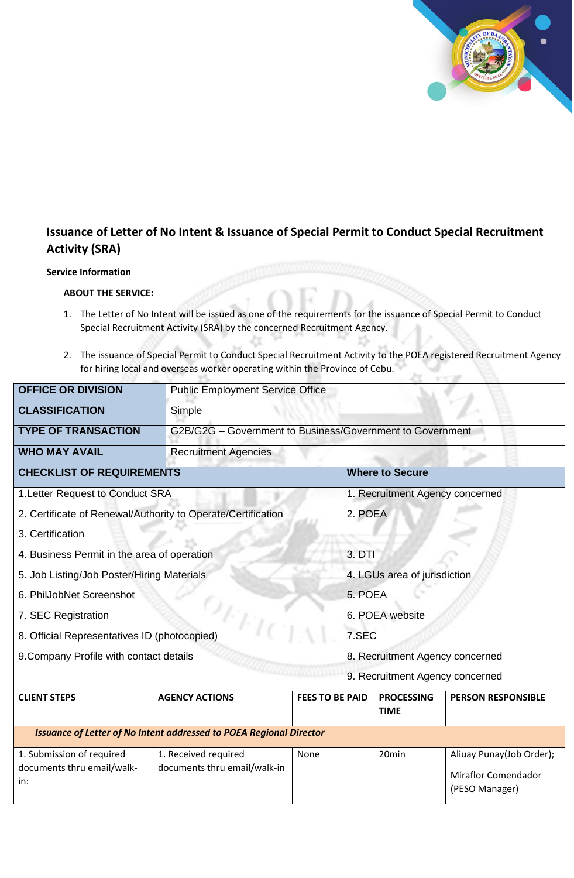

(PESO Manager)

## **Issuance of Letter of No Intent & Issuance of Special Permit to Conduct Special Recruitment Activity (SRA)**

#### **Service Information**

#### **ABOUT THE SERVICE:**

- 1. The Letter of No Intent will be issued as one of the requirements for the issuance of Special Permit to Conduct Special Recruitment Activity (SRA) by the concerned Recruitment Agency.
- 2. The issuance of Special Permit to Conduct Special Recruitment Activity to the POEA registered Recruitment Agency for hiring local and overseas worker operating within the Province of Cebu.

| <b>OFFICE OR DIVISION</b>                                                  | <b>Public Employment Service Office</b>                   |                                 |  |                                  |                                                        |  |  |
|----------------------------------------------------------------------------|-----------------------------------------------------------|---------------------------------|--|----------------------------------|--------------------------------------------------------|--|--|
| <b>CLASSIFICATION</b>                                                      | Simple                                                    |                                 |  |                                  |                                                        |  |  |
| <b>TYPE OF TRANSACTION</b>                                                 | G2B/G2G - Government to Business/Government to Government |                                 |  |                                  |                                                        |  |  |
| <b>WHO MAY AVAIL</b>                                                       | <b>Recruitment Agencies</b>                               |                                 |  |                                  |                                                        |  |  |
| <b>CHECKLIST OF REQUIREMENTS</b>                                           | <b>Where to Secure</b>                                    |                                 |  |                                  |                                                        |  |  |
| 1. Letter Request to Conduct SRA                                           |                                                           | 1. Recruitment Agency concerned |  |                                  |                                                        |  |  |
| 2. Certificate of Renewal/Authority to Operate/Certification               |                                                           | 2. POEA                         |  |                                  |                                                        |  |  |
| 3. Certification                                                           |                                                           |                                 |  |                                  |                                                        |  |  |
| 4. Business Permit in the area of operation                                |                                                           |                                 |  | 3. DTI                           |                                                        |  |  |
| 5. Job Listing/Job Poster/Hiring Materials                                 |                                                           |                                 |  | 4. LGUs area of jurisdiction     |                                                        |  |  |
| 6. PhilJobNet Screenshot                                                   |                                                           |                                 |  | 5. POEA                          |                                                        |  |  |
| 7. SEC Registration                                                        |                                                           |                                 |  | 6. POEA website                  |                                                        |  |  |
| 8. Official Representatives ID (photocopied)                               |                                                           |                                 |  | 7.SEC                            |                                                        |  |  |
| 9. Company Profile with contact details                                    |                                                           | 8. Recruitment Agency concerned |  |                                  |                                                        |  |  |
|                                                                            |                                                           |                                 |  | 9. Recruitment Agency concerned  |                                                        |  |  |
| <b>CLIENT STEPS</b>                                                        | <b>AGENCY ACTIONS</b>                                     | <b>FEES TO BE PAID</b>          |  | <b>PROCESSING</b><br><b>TIME</b> | <b>PERSON RESPONSIBLE</b>                              |  |  |
| <b>Issuance of Letter of No Intent addressed to POEA Regional Director</b> |                                                           |                                 |  |                                  |                                                        |  |  |
| 1. Submission of required<br>documents thru email/walk-<br>in:             | 1. Received required<br>documents thru email/walk-in      | None                            |  | 20min                            | Aliuay Punay(Job Order);<br><b>Miraflor Comendador</b> |  |  |